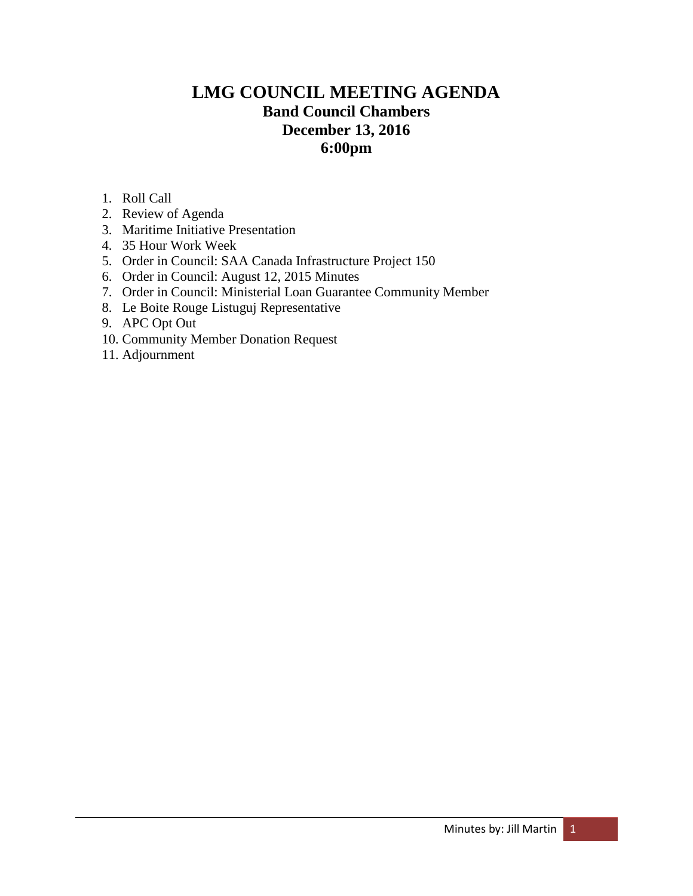# **LMG COUNCIL MEETING AGENDA Band Council Chambers December 13, 2016 6:00pm**

- 1. Roll Call
- 2. Review of Agenda
- 3. Maritime Initiative Presentation
- 4. 35 Hour Work Week
- 5. Order in Council: SAA Canada Infrastructure Project 150
- 6. Order in Council: August 12, 2015 Minutes
- 7. Order in Council: Ministerial Loan Guarantee Community Member
- 8. Le Boite Rouge Listuguj Representative
- 9. APC Opt Out
- 10. Community Member Donation Request
- 11. Adjournment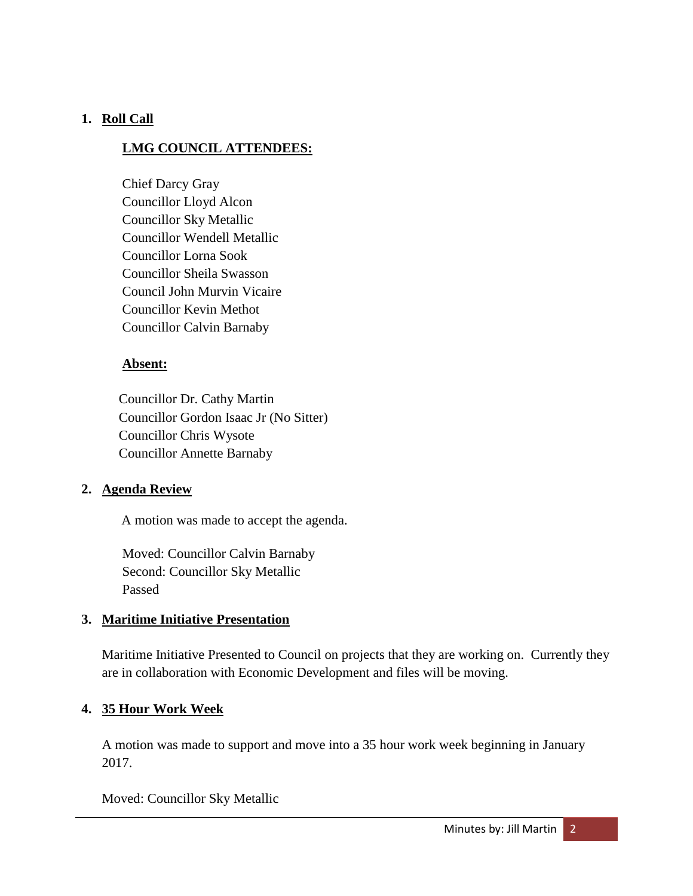# **1. Roll Call**

## **LMG COUNCIL ATTENDEES:**

Chief Darcy Gray Councillor Lloyd Alcon Councillor Sky Metallic Councillor Wendell Metallic Councillor Lorna Sook Councillor Sheila Swasson Council John Murvin Vicaire Councillor Kevin Methot Councillor Calvin Barnaby

## **Absent:**

 Councillor Dr. Cathy Martin Councillor Gordon Isaac Jr (No Sitter) Councillor Chris Wysote Councillor Annette Barnaby

# **2. Agenda Review**

A motion was made to accept the agenda.

Moved: Councillor Calvin Barnaby Second: Councillor Sky Metallic Passed

# **3. Maritime Initiative Presentation**

Maritime Initiative Presented to Council on projects that they are working on. Currently they are in collaboration with Economic Development and files will be moving.

# **4. 35 Hour Work Week**

A motion was made to support and move into a 35 hour work week beginning in January 2017.

Moved: Councillor Sky Metallic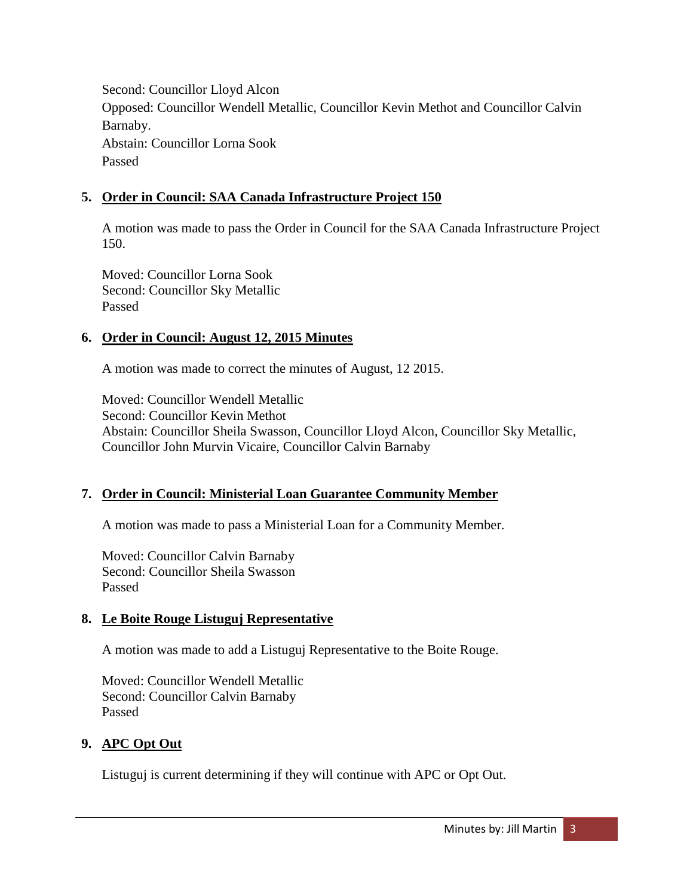Second: Councillor Lloyd Alcon Opposed: Councillor Wendell Metallic, Councillor Kevin Methot and Councillor Calvin Barnaby. Abstain: Councillor Lorna Sook Passed

## **5. Order in Council: SAA Canada Infrastructure Project 150**

A motion was made to pass the Order in Council for the SAA Canada Infrastructure Project 150.

Moved: Councillor Lorna Sook Second: Councillor Sky Metallic Passed

### **6. Order in Council: August 12, 2015 Minutes**

A motion was made to correct the minutes of August, 12 2015.

Moved: Councillor Wendell Metallic Second: Councillor Kevin Methot Abstain: Councillor Sheila Swasson, Councillor Lloyd Alcon, Councillor Sky Metallic, Councillor John Murvin Vicaire, Councillor Calvin Barnaby

### **7. Order in Council: Ministerial Loan Guarantee Community Member**

A motion was made to pass a Ministerial Loan for a Community Member.

Moved: Councillor Calvin Barnaby Second: Councillor Sheila Swasson Passed

### **8. Le Boite Rouge Listuguj Representative**

A motion was made to add a Listuguj Representative to the Boite Rouge.

Moved: Councillor Wendell Metallic Second: Councillor Calvin Barnaby Passed

### **9. APC Opt Out**

Listuguj is current determining if they will continue with APC or Opt Out.